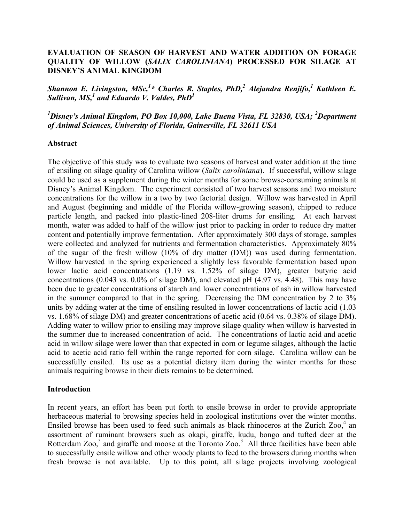### **EVALUATION OF SEASON OF HARVEST AND WATER ADDITION ON FORAGE QUALITY OF WILLOW (***SALIX CAROLINIANA***) PROCESSED FOR SILAGE AT DISNEY'S ANIMAL KINGDOM**

*Shannon E. Livingston, MSc,1 \* Charles R. Staples, PhD,2 Alejandra Renjifo,<sup>1</sup> Kathleen E. Sullivan, MS,1 and Eduardo V. Valdes, PhD<sup>1</sup>*

<sup>1</sup>Disney's Animal Kingdom, PO Box 10,000, Lake Buena Vista, FL 32830, USA; <sup>2</sup>Department *of Animal Sciences, University of Florida, Gainesville, FL 32611 USA*

#### **Abstract**

The objective of this study was to evaluate two seasons of harvest and water addition at the time of ensiling on silage quality of Carolina willow (*Salix caroliniana*). If successful, willow silage could be used as a supplement during the winter months for some browse-consuming animals at Disney's Animal Kingdom. The experiment consisted of two harvest seasons and two moisture concentrations for the willow in a two by two factorial design. Willow was harvested in April and August (beginning and middle of the Florida willow-growing season), chipped to reduce particle length, and packed into plastic-lined 208-liter drums for ensiling. At each harvest month, water was added to half of the willow just prior to packing in order to reduce dry matter content and potentially improve fermentation. After approximately 300 days of storage, samples were collected and analyzed for nutrients and fermentation characteristics. Approximately 80% of the sugar of the fresh willow (10% of dry matter (DM)) was used during fermentation. Willow harvested in the spring experienced a slightly less favorable fermentation based upon lower lactic acid concentrations (1.19 vs. 1.52% of silage DM), greater butyric acid concentrations (0.043 vs. 0.0% of silage DM), and elevated pH (4.97 vs. 4.48). This may have been due to greater concentrations of starch and lower concentrations of ash in willow harvested in the summer compared to that in the spring. Decreasing the DM concentration by 2 to 3% units by adding water at the time of ensiling resulted in lower concentrations of lactic acid (1.03 vs. 1.68% of silage DM) and greater concentrations of acetic acid (0.64 vs. 0.38% of silage DM). Adding water to willow prior to ensiling may improve silage quality when willow is harvested in the summer due to increased concentration of acid. The concentrations of lactic acid and acetic acid in willow silage were lower than that expected in corn or legume silages, although the lactic acid to acetic acid ratio fell within the range reported for corn silage. Carolina willow can be successfully ensiled. Its use as a potential dietary item during the winter months for those animals requiring browse in their diets remains to be determined.

#### **Introduction**

In recent years, an effort has been put forth to ensile browse in order to provide appropriate herbaceous material to browsing species held in zoological institutions over the winter months. Ensiled browse has been used to feed such animals as black rhinoceros at the Zurich  $Zoo<sub>1</sub><sup>4</sup>$  an assortment of ruminant browsers such as okapi, giraffe, kudu, bongo and tufted deer at the Rotterdam Zoo,<sup>5</sup> and giraffe and moose at the Toronto Zoo.<sup>3</sup> All three facilities have been able to successfully ensile willow and other woody plants to feed to the browsers during months when fresh browse is not available. Up to this point, all silage projects involving zoological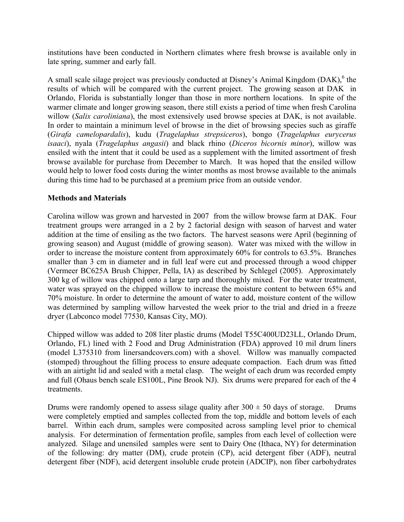institutions have been conducted in Northern climates where fresh browse is available only in late spring, summer and early fall.

A small scale silage project was previously conducted at Disney's Animal Kingdom (DAK),<sup>6</sup> the results of which will be compared with the current project. The growing season at DAK in Orlando, Florida is substantially longer than those in more northern locations. In spite of the warmer climate and longer growing season, there still exists a period of time when fresh Carolina willow (*Salix caroliniana*), the most extensively used browse species at DAK, is not available. In order to maintain a minimum level of browse in the diet of browsing species such as giraffe (*Girafa camelopardalis*), kudu (*Tragelaphus strepsiceros*), bongo (*Tragelaphus eurycerus isaaci*), nyala (*Tragelaphus angasii*) and black rhino (*Diceros bicornis minor*), willow was ensiled with the intent that it could be used as a supplement with the limited assortment of fresh browse available for purchase from December to March. It was hoped that the ensiled willow would help to lower food costs during the winter months as most browse available to the animals during this time had to be purchased at a premium price from an outside vendor.

## **Methods and Materials**

Carolina willow was grown and harvested in 2007 from the willow browse farm at DAK. Four treatment groups were arranged in a 2 by 2 factorial design with season of harvest and water addition at the time of ensiling as the two factors. The harvest seasons were April (beginning of growing season) and August (middle of growing season). Water was mixed with the willow in order to increase the moisture content from approximately 60% for controls to 63.5%. Branches smaller than 3 cm in diameter and in full leaf were cut and processed through a wood chipper (Vermeer BC625A Brush Chipper, Pella, IA) as described by Schlegel (2005). Approximately 300 kg of willow was chipped onto a large tarp and thoroughly mixed. For the water treatment, water was sprayed on the chipped willow to increase the moisture content to between 65% and 70% moisture. In order to determine the amount of water to add, moisture content of the willow was determined by sampling willow harvested the week prior to the trial and dried in a freeze dryer (Labconco model 77530, Kansas City, MO).

Chipped willow was added to 208 liter plastic drums (Model T55C400UD23LL, Orlando Drum, Orlando, FL) lined with 2 Food and Drug Administration (FDA) approved 10 mil drum liners (model L375310 from linersandcovers.com) with a shovel. Willow was manually compacted (stomped) throughout the filling process to ensure adequate compaction. Each drum was fitted with an airtight lid and sealed with a metal clasp. The weight of each drum was recorded empty and full (Ohaus bench scale ES100L, Pine Brook NJ). Six drums were prepared for each of the 4 treatments.

Drums were randomly opened to assess silage quality after  $300 \pm 50$  days of storage. Drums were completely emptied and samples collected from the top, middle and bottom levels of each barrel. Within each drum, samples were composited across sampling level prior to chemical analysis. For determination of fermentation profile, samples from each level of collection were analyzed. Silage and unensiled samples were sent to Dairy One (Ithaca, NY) for determination of the following: dry matter (DM), crude protein (CP), acid detergent fiber (ADF), neutral detergent fiber (NDF), acid detergent insoluble crude protein (ADCIP), non fiber carbohydrates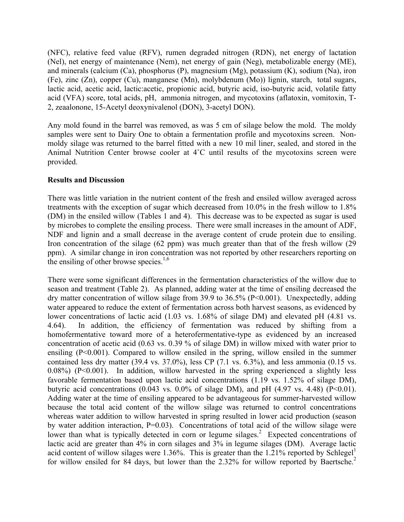(NFC), relative feed value (RFV), rumen degraded nitrogen (RDN), net energy of lactation (Nel), net energy of maintenance (Nem), net energy of gain (Neg), metabolizable energy (ME), and minerals (calcium (Ca), phosphorus (P), magnesium (Mg), potassium (K), sodium (Na), iron (Fe), zinc (Zn), copper (Cu), manganese (Mn), molybdenum (Mo)) lignin, starch, total sugars, lactic acid, acetic acid, lactic:acetic, propionic acid, butyric acid, iso-butyric acid, volatile fatty acid (VFA) score, total acids, pH, ammonia nitrogen, and mycotoxins (aflatoxin, vomitoxin, T-2, zeaalonone, 15-Acetyl deoxynivalenol (DON), 3-acetyl DON).

Any mold found in the barrel was removed, as was 5 cm of silage below the mold. The moldy samples were sent to Dairy One to obtain a fermentation profile and mycotoxins screen. Nonmoldy silage was returned to the barrel fitted with a new 10 mil liner, sealed, and stored in the Animal Nutrition Center browse cooler at 4˚C until results of the mycotoxins screen were provided.

### **Results and Discussion**

There was little variation in the nutrient content of the fresh and ensiled willow averaged across treatments with the exception of sugar which decreased from 10.0% in the fresh willow to 1.8% (DM) in the ensiled willow (Tables 1 and 4). This decrease was to be expected as sugar is used by microbes to complete the ensiling process. There were small increases in the amount of ADF, NDF and lignin and a small decrease in the average content of crude protein due to ensiling. Iron concentration of the silage (62 ppm) was much greater than that of the fresh willow (29 ppm). A similar change in iron concentration was not reported by other researchers reporting on the ensiling of other browse species. $1,6$ 

There were some significant differences in the fermentation characteristics of the willow due to season and treatment (Table 2). As planned, adding water at the time of ensiling decreased the dry matter concentration of willow silage from 39.9 to 36.5% (P<0.001). Unexpectedly, adding water appeared to reduce the extent of fermentation across both harvest seasons, as evidenced by lower concentrations of lactic acid (1.03 vs. 1.68% of silage DM) and elevated pH (4.81 vs. 4.64). In addition, the efficiency of fermentation was reduced by shifting from a homofermentative toward more of a heterofermentative-type as evidenced by an increased concentration of acetic acid (0.63 vs. 0.39 % of silage DM) in willow mixed with water prior to ensiling (P<0.001). Compared to willow ensiled in the spring, willow ensiled in the summer contained less dry matter (39.4 vs. 37.0%), less CP (7.1 vs. 6.3%), and less ammonia (0.15 vs. 0.08%) (P<0.001). In addition, willow harvested in the spring experienced a slightly less favorable fermentation based upon lactic acid concentrations (1.19 vs. 1.52% of silage DM), butyric acid concentrations  $(0.043 \text{ vs. } 0.0\% \text{ of }$  silage DM), and pH  $(4.97 \text{ vs. } 4.48)$  (P<0.01). Adding water at the time of ensiling appeared to be advantageous for summer-harvested willow because the total acid content of the willow silage was returned to control concentrations whereas water addition to willow harvested in spring resulted in lower acid production (season by water addition interaction, P=0.03). Concentrations of total acid of the willow silage were lower than what is typically detected in corn or legume silages.<sup>2</sup> Expected concentrations of lactic acid are greater than 4% in corn silages and 3% in legume silages (DM). Average lactic acid content of willow silages were 1.36%. This is greater than the 1.21% reported by Schlegel<sup>1</sup> for willow ensiled for 84 days, but lower than the 2.32% for willow reported by Baertsche.<sup>2</sup>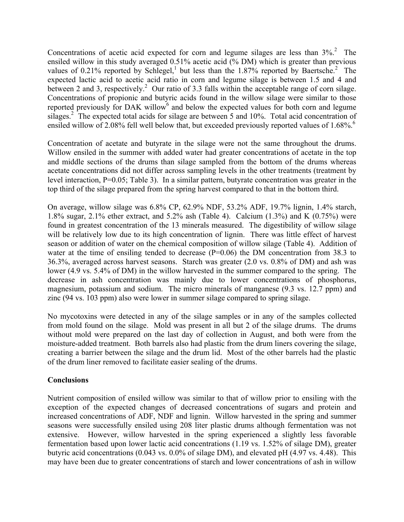Concentrations of acetic acid expected for corn and legume silages are less than  $3\%$ <sup>2</sup>. The ensiled willow in this study averaged 0.51% acetic acid (% DM) which is greater than previous values of 0.21% reported by Schlegel,<sup>1</sup> but less than the 1.87% reported by Baertsche.<sup>2</sup> The expected lactic acid to acetic acid ratio in corn and legume silage is between 1.5 and 4 and between 2 and 3, respectively.<sup>2</sup> Our ratio of 3.3 falls within the acceptable range of corn silage. Concentrations of propionic and butyric acids found in the willow silage were similar to those reported previously for DAK willow<sup>6</sup> and below the expected values for both corn and legume silages.<sup>2</sup> The expected total acids for silage are between 5 and 10%. Total acid concentration of ensiled willow of 2.08% fell well below that, but exceeded previously reported values of 1.68%.<sup>6</sup>

Concentration of acetate and butyrate in the silage were not the same throughout the drums. Willow ensiled in the summer with added water had greater concentrations of acetate in the top and middle sections of the drums than silage sampled from the bottom of the drums whereas acetate concentrations did not differ across sampling levels in the other treatments (treatment by level interaction, P=0.05; Table 3). In a similar pattern, butyrate concentration was greater in the top third of the silage prepared from the spring harvest compared to that in the bottom third.

On average, willow silage was 6.8% CP, 62.9% NDF, 53.2% ADF, 19.7% lignin, 1.4% starch, 1.8% sugar, 2.1% ether extract, and 5.2% ash (Table 4). Calcium (1.3%) and K (0.75%) were found in greatest concentration of the 13 minerals measured. The digestibility of willow silage will be relatively low due to its high concentration of lignin. There was little effect of harvest season or addition of water on the chemical composition of willow silage (Table 4). Addition of water at the time of ensiling tended to decrease  $(P=0.06)$  the DM concentration from 38.3 to 36.3%, averaged across harvest seasons. Starch was greater (2.0 vs. 0.8% of DM) and ash was lower (4.9 vs. 5.4% of DM) in the willow harvested in the summer compared to the spring. The decrease in ash concentration was mainly due to lower concentrations of phosphorus, magnesium, potassium and sodium. The micro minerals of manganese (9.3 vs. 12.7 ppm) and zinc (94 vs. 103 ppm) also were lower in summer silage compared to spring silage.

No mycotoxins were detected in any of the silage samples or in any of the samples collected from mold found on the silage. Mold was present in all but 2 of the silage drums. The drums without mold were prepared on the last day of collection in August, and both were from the moisture-added treatment. Both barrels also had plastic from the drum liners covering the silage, creating a barrier between the silage and the drum lid. Most of the other barrels had the plastic of the drum liner removed to facilitate easier sealing of the drums.

# **Conclusions**

Nutrient composition of ensiled willow was similar to that of willow prior to ensiling with the exception of the expected changes of decreased concentrations of sugars and protein and increased concentrations of ADF, NDF and lignin. Willow harvested in the spring and summer seasons were successfully ensiled using 208 liter plastic drums although fermentation was not extensive. However, willow harvested in the spring experienced a slightly less favorable fermentation based upon lower lactic acid concentrations (1.19 vs. 1.52% of silage DM), greater butyric acid concentrations (0.043 vs. 0.0% of silage DM), and elevated pH (4.97 vs. 4.48). This may have been due to greater concentrations of starch and lower concentrations of ash in willow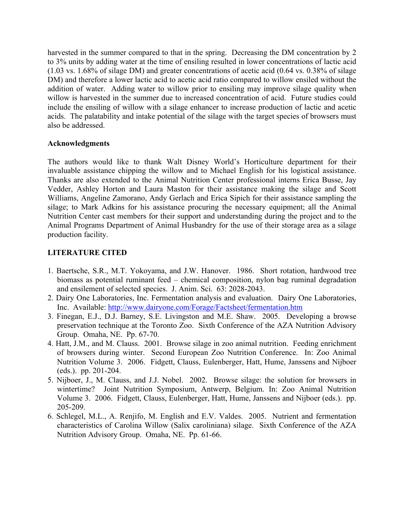harvested in the summer compared to that in the spring. Decreasing the DM concentration by 2 to 3% units by adding water at the time of ensiling resulted in lower concentrations of lactic acid (1.03 vs. 1.68% of silage DM) and greater concentrations of acetic acid (0.64 vs. 0.38% of silage DM) and therefore a lower lactic acid to acetic acid ratio compared to willow ensiled without the addition of water. Adding water to willow prior to ensiling may improve silage quality when willow is harvested in the summer due to increased concentration of acid. Future studies could include the ensiling of willow with a silage enhancer to increase production of lactic and acetic acids. The palatability and intake potential of the silage with the target species of browsers must also be addressed.

## **Acknowledgments**

The authors would like to thank Walt Disney World's Horticulture department for their invaluable assistance chipping the willow and to Michael English for his logistical assistance. Thanks are also extended to the Animal Nutrition Center professional interns Erica Busse, Jay Vedder, Ashley Horton and Laura Maston for their assistance making the silage and Scott Williams, Angeline Zamorano, Andy Gerlach and Erica Sipich for their assistance sampling the silage; to Mark Adkins for his assistance procuring the necessary equipment; all the Animal Nutrition Center cast members for their support and understanding during the project and to the Animal Programs Department of Animal Husbandry for the use of their storage area as a silage production facility.

# **LITERATURE CITED**

- 1. Baertsche, S.R., M.T. Yokoyama, and J.W. Hanover. 1986. Short rotation, hardwood tree biomass as potential ruminant feed – chemical composition, nylon bag ruminal degradation and ensilement of selected species. J. Anim. Sci. 63: 2028-2043.
- 2. Dairy One Laboratories, Inc. Fermentation analysis and evaluation. Dairy One Laboratories, Inc. Available: http://www.dairyone.com/Forage/Factsheet/fermentation.htm
- 3. Finegan, E.J., D.J. Barney, S.E. Livingston and M.E. Shaw. 2005. Developing a browse preservation technique at the Toronto Zoo. Sixth Conference of the AZA Nutrition Advisory Group. Omaha, NE. Pp. 67-70.
- 4. Hatt, J.M., and M. Clauss. 2001. Browse silage in zoo animal nutrition. Feeding enrichment of browsers during winter. Second European Zoo Nutrition Conference. In: Zoo Animal Nutrition Volume 3. 2006. Fidgett, Clauss, Eulenberger, Hatt, Hume, Janssens and Nijboer (eds.). pp. 201-204.
- 5. Nijboer, J., M. Clauss, and J.J. Nobel. 2002. Browse silage: the solution for browsers in wintertime? Joint Nutrition Symposium, Antwerp, Belgium. In: Zoo Animal Nutrition Volume 3. 2006. Fidgett, Clauss, Eulenberger, Hatt, Hume, Janssens and Nijboer (eds.). pp. 205-209.
- 6. Schlegel, M.L., A. Renjifo, M. English and E.V. Valdes. 2005. Nutrient and fermentation characteristics of Carolina Willow (Salix caroliniana) silage. Sixth Conference of the AZA Nutrition Advisory Group. Omaha, NE. Pp. 61-66.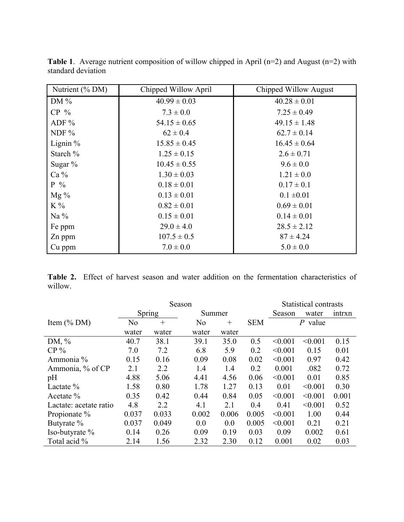| Nutrient $(\%$ DM) | Chipped Willow April | Chipped Willow August |
|--------------------|----------------------|-----------------------|
| DM $%$             | $40.99 \pm 0.03$     | $40.28 \pm 0.01$      |
| $CP \%$            | $7.3 \pm 0.0$        | $7.25 \pm 0.49$       |
| ADF $%$            | $54.15 \pm 0.65$     | $49.15 \pm 1.48$      |
| NDF $%$            | $62 \pm 0.4$         | $62.7 \pm 0.14$       |
| Lignin $%$         | $15.85 \pm 0.45$     | $16.45 \pm 0.64$      |
| Starch %           | $1.25 \pm 0.15$      | $2.6 \pm 0.71$        |
| Sugar $%$          | $10.45 \pm 0.55$     | $9.6 \pm 0.0$         |
| $Ca\%$             | $1.30 \pm 0.03$      | $1.21 \pm 0.0$        |
| $P_{0}$            | $0.18 \pm 0.01$      | $0.17 \pm 0.1$        |
| $Mg\%$             | $0.13 \pm 0.01$      | $0.1 \pm 0.01$        |
| $K\%$              | $0.82 \pm 0.01$      | $0.69 \pm 0.01$       |
| Na $%$             | $0.15 \pm 0.01$      | $0.14 \pm 0.01$       |
| Fe ppm             | $29.0 \pm 4.0$       | $28.5 \pm 2.12$       |
| Zn ppm             | $107.5 \pm 0.5$      | $87 \pm 4.24$         |
| Cu ppm             | $7.0 \pm 0.0$        | $5.0 \pm 0.0$         |

**Table 1**. Average nutrient composition of willow chipped in April (n=2) and August (n=2) with standard deviation

**Table 2.** Effect of harvest season and water addition on the fermentation characteristics of willow.

|                        | Season         |       |                |       | Statistical contrasts |                |         |        |
|------------------------|----------------|-------|----------------|-------|-----------------------|----------------|---------|--------|
|                        | <b>Spring</b>  |       | Summer         |       |                       | Season         | water   | intrxn |
| Item $(\%$ DM)         | N <sub>0</sub> | $+$   | N <sub>0</sub> | $+$   | <b>SEM</b>            | $\,P$<br>value |         |        |
|                        | water          | water | water          | water |                       |                |         |        |
| DM, $\%$               | 40.7           | 38.1  | 39.1           | 35.0  | 0.5                   | < 0.001        | < 0.001 | 0.15   |
| $CP\%$                 | 7.0            | 7.2   | 6.8            | 5.9   | 0.2                   | < 0.001        | 0.15    | 0.01   |
| Ammonia %              | 0.15           | 0.16  | 0.09           | 0.08  | 0.02                  | < 0.001        | 0.97    | 0.42   |
| Ammonia, % of CP       | 2.1            | 2.2   | 1.4            | 1.4   | 0.2                   | 0.001          | .082    | 0.72   |
| pH                     | 4.88           | 5.06  | 4.41           | 4.56  | 0.06                  | < 0.001        | 0.01    | 0.85   |
| Lactate $\%$           | 1.58           | 0.80  | 1.78           | 1.27  | 0.13                  | 0.01           | < 0.001 | 0.30   |
| Acetate $%$            | 0.35           | 0.42  | 0.44           | 0.84  | 0.05                  | < 0.001        | < 0.001 | 0.001  |
| Lactate: acetate ratio | 4.8            | 2.2   | 4.1            | 2.1   | 0.4                   | 0.41           | < 0.001 | 0.52   |
| Propionate %           | 0.037          | 0.033 | 0.002          | 0.006 | 0.005                 | < 0.001        | 1.00    | 0.44   |
| Butyrate %             | 0.037          | 0.049 | 0.0            | 0.0   | 0.005                 | < 0.001        | 0.21    | 0.21   |
| Iso-butyrate %         | 0.14           | 0.26  | 0.09           | 0.19  | 0.03                  | 0.09           | 0.002   | 0.61   |
| Total acid %           | 2.14           | 1.56  | 2.32           | 2.30  | 0.12                  | 0.001          | 0.02    | 0.03   |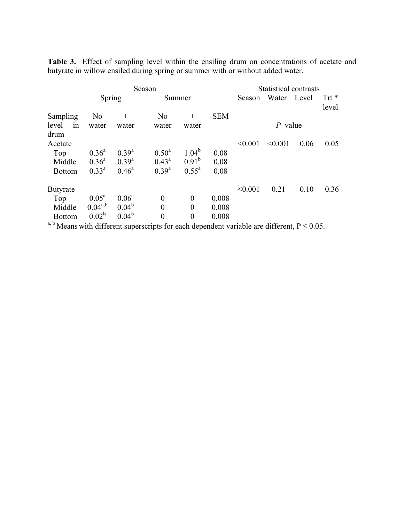**Table 3.** Effect of sampling level within the ensiling drum on concentrations of acetate and butyrate in willow ensiled during spring or summer with or without added water.

|                 | Season            |                |                |                      |              | Statistical contrasts |         |                       |         |  |
|-----------------|-------------------|----------------|----------------|----------------------|--------------|-----------------------|---------|-----------------------|---------|--|
|                 | Spring            |                | Summer         |                      |              | Season                | Water   | Level                 | Trt $*$ |  |
|                 |                   |                |                |                      |              |                       |         |                       | level   |  |
| Sampling        | N <sub>o</sub>    | $^{+}$         | N <sub>0</sub> | $^{+}$               | <b>SEM</b>   |                       |         |                       |         |  |
| level<br>1n     | water             | water          | water          | water                |              | $P$ value             |         |                       |         |  |
| drum            |                   |                |                |                      |              |                       |         |                       |         |  |
| Acetate         |                   |                |                |                      |              | < 0.001               | < 0.001 | 0.06                  | 0.05    |  |
| Top             | $0.36^{\rm a}$    | $0.39^{a}$     | $0.50^{\rm a}$ | $1.04^b$             | 0.08         |                       |         |                       |         |  |
| Middle          | $0.36^{\rm a}$    | $0.39^{a}$     | $0.43^{\rm a}$ | $0.91^b$             | 0.08         |                       |         |                       |         |  |
| <b>Bottom</b>   | $0.33^a$          | $0.46^{\circ}$ | $0.39^{a}$     | $0.55^{\text{a}}$    | 0.08         |                       |         |                       |         |  |
|                 |                   |                |                |                      |              |                       |         |                       |         |  |
| <b>Butyrate</b> |                   |                |                |                      |              | < 0.001               | 0.21    | 0.10                  | 0.36    |  |
| Top             | $0.05^{\text{a}}$ | $0.06^a$       | $\overline{0}$ | $\theta$             | 0.008        |                       |         |                       |         |  |
| Middle          | $0.04^{a,b}$      | $0.04^b$       | $\overline{0}$ | $\theta$             | 0.008        |                       |         |                       |         |  |
| <b>Bottom</b>   | $0.02^b$          | $0.04^b$       | $\overline{0}$ | $\theta$             | 0.008        |                       |         |                       |         |  |
| a $b \cdot r$   | $\cdot$ 1 1.00    | $\overline{1}$ | $\sim$ $\sim$  | 1.<br>$\blacksquare$ | $\mathbf{1}$ | $\cdot$ 11            | 1.00    | $\sqrt{D}$ $\sqrt{D}$ |         |  |

a, b Means with different superscripts for each dependent variable are different,  $P \le 0.05$ .